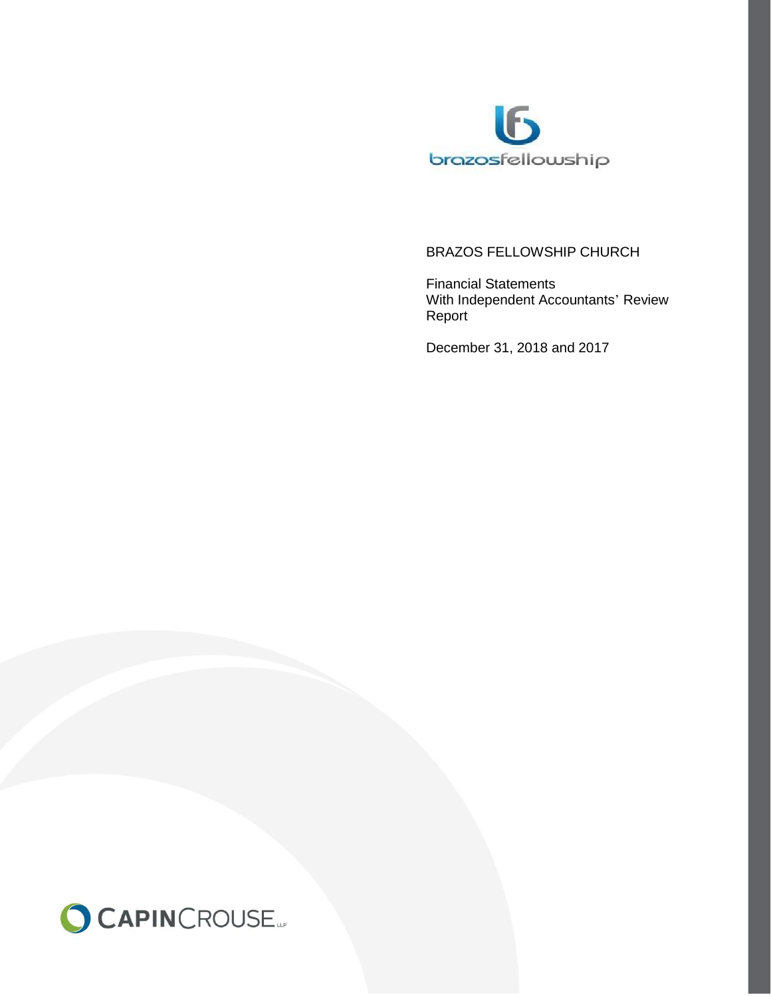

# BRAZOS FELLOWSHIP CHURCH

Financial Statements With Independent Accountants' Review Report

December 31, 2018 and 2017

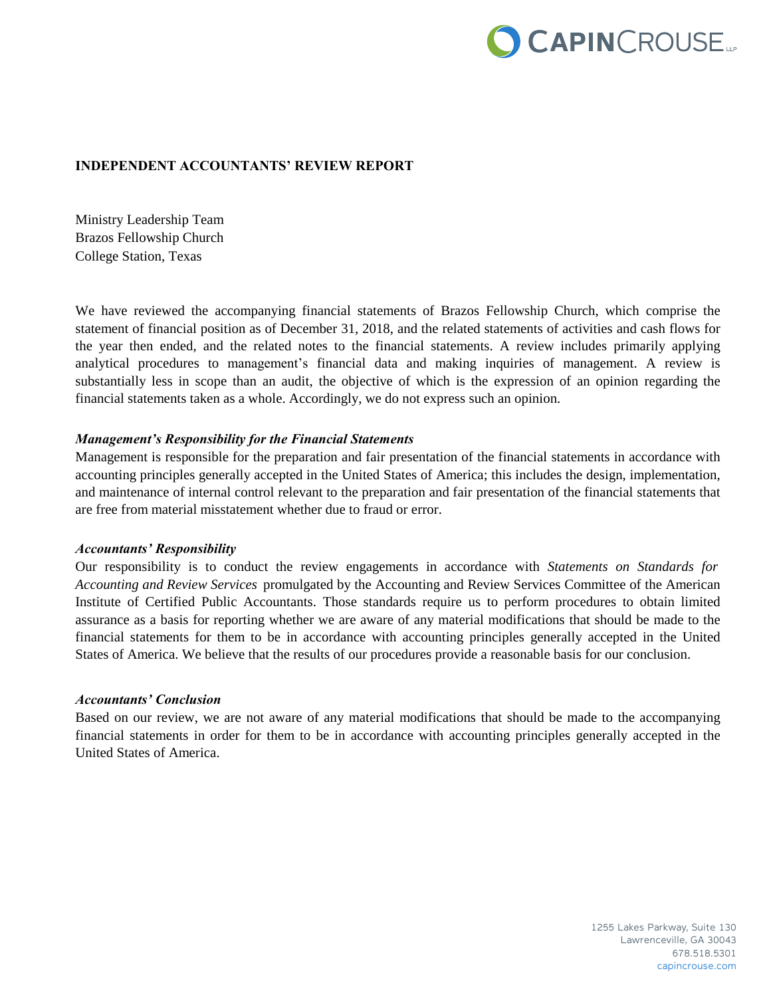

#### **INDEPENDENT ACCOUNTANTS' REVIEW REPORT**

Ministry Leadership Team Brazos Fellowship Church College Station, Texas

We have reviewed the accompanying financial statements of Brazos Fellowship Church, which comprise the statement of financial position as of December 31, 2018, and the related statements of activities and cash flows for the year then ended, and the related notes to the financial statements. A review includes primarily applying analytical procedures to management's financial data and making inquiries of management. A review is substantially less in scope than an audit, the objective of which is the expression of an opinion regarding the financial statements taken as a whole. Accordingly, we do not express such an opinion.

#### *Management's Responsibility for the Financial Statements*

Management is responsible for the preparation and fair presentation of the financial statements in accordance with accounting principles generally accepted in the United States of America; this includes the design, implementation, and maintenance of internal control relevant to the preparation and fair presentation of the financial statements that are free from material misstatement whether due to fraud or error.

#### *Accountants' Responsibility*

Our responsibility is to conduct the review engagements in accordance with *Statements on Standards for Accounting and Review Services* promulgated by the Accounting and Review Services Committee of the American Institute of Certified Public Accountants. Those standards require us to perform procedures to obtain limited assurance as a basis for reporting whether we are aware of any material modifications that should be made to the financial statements for them to be in accordance with accounting principles generally accepted in the United States of America. We believe that the results of our procedures provide a reasonable basis for our conclusion.

#### *Accountants' Conclusion*

Based on our review, we are not aware of any material modifications that should be made to the accompanying financial statements in order for them to be in accordance with accounting principles generally accepted in the United States of America.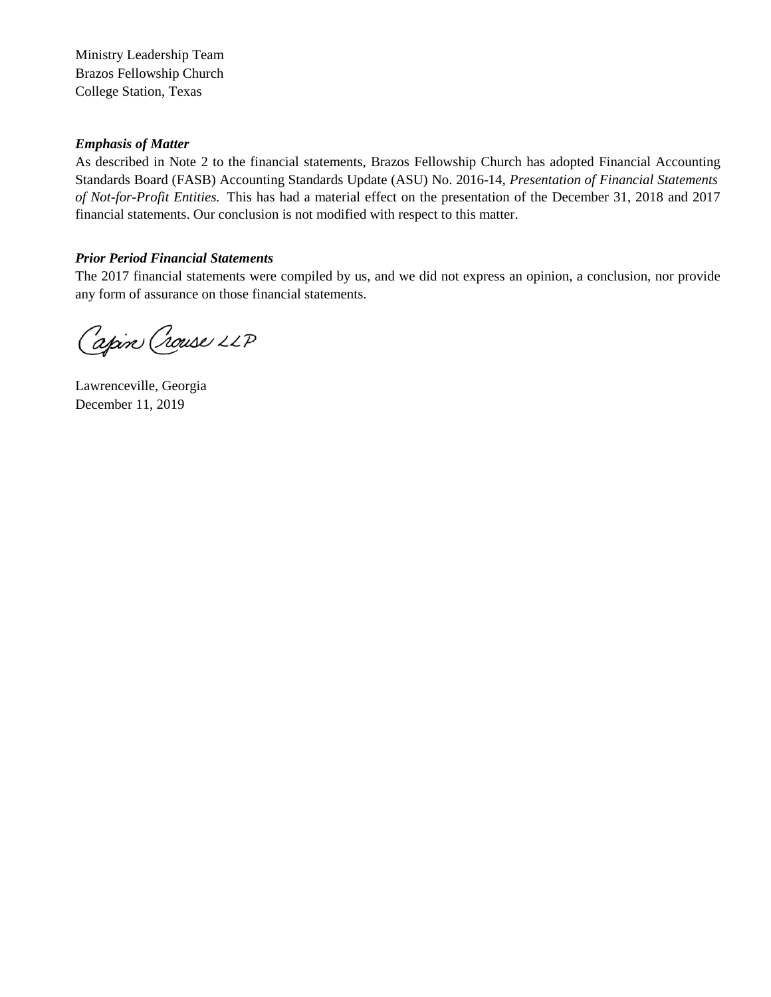Ministry Leadership Team Brazos Fellowship Church College Station, Texas

### *Emphasis of Matter*

As described in Note 2 to the financial statements, Brazos Fellowship Church has adopted Financial Accounting Standards Board (FASB) Accounting Standards Update (ASU) No. 2016-14, *Presentation of Financial Statements of Not-for-Profit Entities.* This has had a material effect on the presentation of the December 31, 2018 and 2017 financial statements. Our conclusion is not modified with respect to this matter.

## *Prior Period Financial Statements*

The 2017 financial statements were compiled by us, and we did not express an opinion, a conclusion, nor provide any form of assurance on those financial statements.

Capin Crouse LLP

Lawrenceville, Georgia December 11, 2019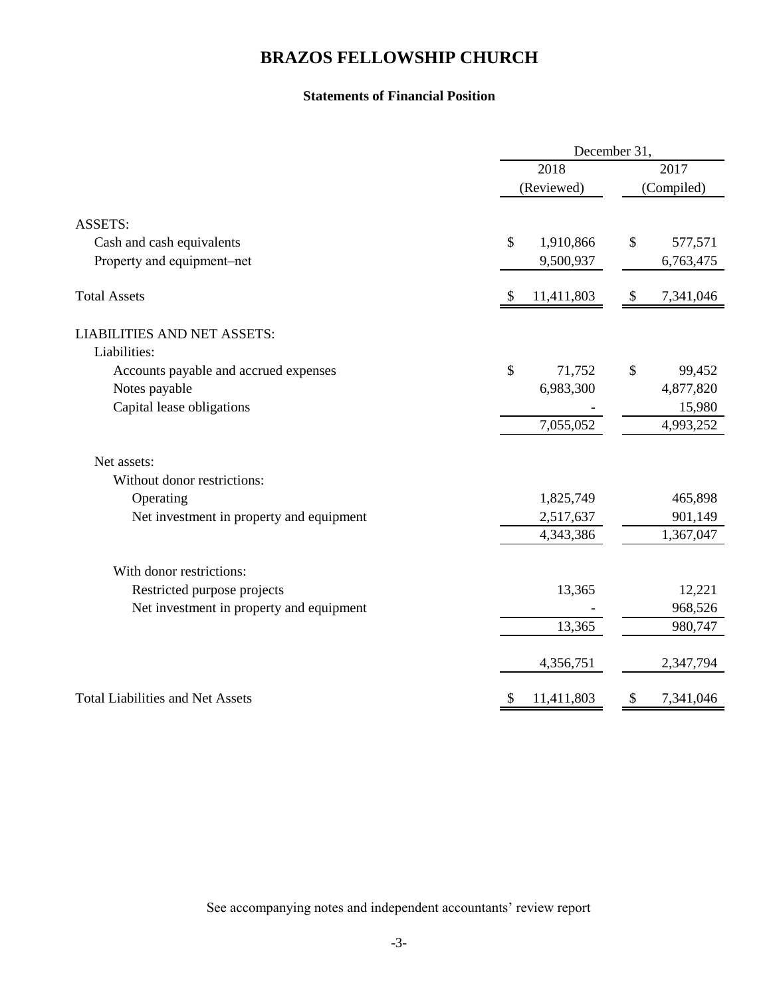# **BRAZOS FELLOWSHIP CHURCH**

## **Statements of Financial Position**

|                                          | December 31,    |                                        |  |  |  |  |
|------------------------------------------|-----------------|----------------------------------------|--|--|--|--|
|                                          | 2018            | 2017<br>(Compiled)                     |  |  |  |  |
|                                          | (Reviewed)      |                                        |  |  |  |  |
| <b>ASSETS:</b>                           |                 |                                        |  |  |  |  |
| Cash and cash equivalents                | \$<br>1,910,866 | $\mathcal{S}$<br>577,571               |  |  |  |  |
| Property and equipment-net               | 9,500,937       | 6,763,475                              |  |  |  |  |
| <b>Total Assets</b>                      | 11,411,803      | 7,341,046<br>$\boldsymbol{\mathsf{S}}$ |  |  |  |  |
| <b>LIABILITIES AND NET ASSETS:</b>       |                 |                                        |  |  |  |  |
| Liabilities:                             |                 |                                        |  |  |  |  |
| Accounts payable and accrued expenses    | \$<br>71,752    | \$<br>99,452                           |  |  |  |  |
| Notes payable                            | 6,983,300       | 4,877,820                              |  |  |  |  |
| Capital lease obligations                |                 | 15,980                                 |  |  |  |  |
|                                          | 7,055,052       | 4,993,252                              |  |  |  |  |
| Net assets:                              |                 |                                        |  |  |  |  |
| Without donor restrictions:              |                 |                                        |  |  |  |  |
| Operating                                | 1,825,749       | 465,898                                |  |  |  |  |
| Net investment in property and equipment | 2,517,637       | 901,149                                |  |  |  |  |
|                                          | 4,343,386       | 1,367,047                              |  |  |  |  |
| With donor restrictions:                 |                 |                                        |  |  |  |  |
| Restricted purpose projects              | 13,365          | 12,221                                 |  |  |  |  |
| Net investment in property and equipment |                 | 968,526                                |  |  |  |  |
|                                          | 13,365          | 980,747                                |  |  |  |  |
|                                          | 4,356,751       | 2,347,794                              |  |  |  |  |
| <b>Total Liabilities and Net Assets</b>  | 11,411,803<br>S | 7,341,046<br>\$                        |  |  |  |  |

See accompanying notes and independent accountants' review report